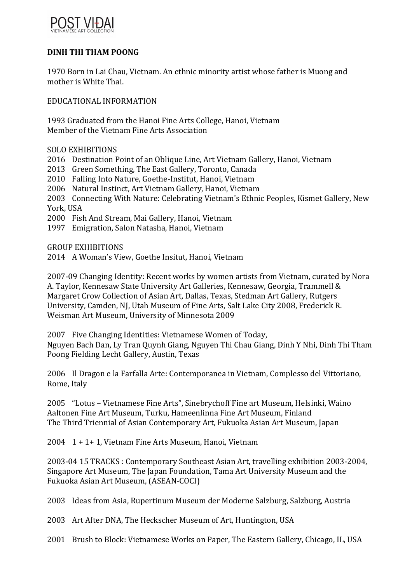

## **DINH THI THAM POONG**

1970 Born in Lai Chau, Vietnam. An ethnic minority artist whose father is Muong and mother is White Thai.

EDUCATIONAL INFORMATION

1993 Graduated from the Hanoi Fine Arts College, Hanoi, Vietnam Member of the Vietnam Fine Arts Association

SOLO EXHIBITIONS

2016 Destination Point of an Oblique Line, Art Vietnam Gallery, Hanoi, Vietnam

2013 Green Something, The East Gallery, Toronto, Canada

2010 Falling Into Nature, Goethe-Institut, Hanoi, Vietnam

2006 Natural Instinct, Art Vietnam Gallery, Hanoi, Vietnam

2003 Connecting With Nature: Celebrating Vietnam's Ethnic Peoples, Kismet Gallery, New York, USA

2000 Fish And Stream, Mai Gallery, Hanoi, Vietnam

1997 Emigration, Salon Natasha, Hanoi, Vietnam

GROUP EXHIBITIONS

2014 A Woman's View, Goethe Insitut, Hanoi, Vietnam

2007-09 Changing Identity: Recent works by women artists from Vietnam, curated by Nora A. Taylor, Kennesaw State University Art Galleries, Kennesaw, Georgia, Trammell & Margaret Crow Collection of Asian Art, Dallas, Texas, Stedman Art Gallery, Rutgers University, Camden, NJ, Utah Museum of Fine Arts, Salt Lake City 2008, Frederick R. Weisman Art Museum, University of Minnesota 2009

2007 Five Changing Identities: Vietnamese Women of Today, Nguyen Bach Dan, Ly Tran Quynh Giang, Nguyen Thi Chau Giang, Dinh Y Nhi, Dinh Thi Tham Poong Fielding Lecht Gallery, Austin, Texas

2006 Il Dragon e la Farfalla Arte: Contemporanea in Vietnam, Complesso del Vittoriano, Rome, Italy

2005 "Lotus - Vietnamese Fine Arts", Sinebrychoff Fine art Museum, Helsinki, Waino Aaltonen Fine Art Museum, Turku, Hameenlinna Fine Art Museum, Finland The Third Triennial of Asian Contemporary Art, Fukuoka Asian Art Museum, Japan

2004  $1 + 1 + 1$ , Vietnam Fine Arts Museum, Hanoi, Vietnam

2003-04 15 TRACKS : Contemporary Southeast Asian Art, travelling exhibition 2003-2004, Singapore Art Museum, The Japan Foundation, Tama Art University Museum and the Fukuoka Asian Art Museum, (ASEAN-COCI)

2003 Ideas from Asia, Rupertinum Museum der Moderne Salzburg, Salzburg, Austria

2003 Art After DNA, The Heckscher Museum of Art, Huntington, USA

2001 Brush to Block: Vietnamese Works on Paper, The Eastern Gallery, Chicago, IL, USA